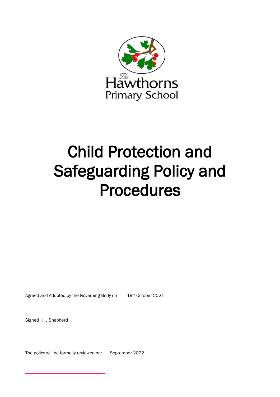

# Child Protection and Safeguarding Policy and Procedures

Agreed and Adopted by the Governing Body on 19th October 2021

Signed : J Shepherd

The policy will be formally reviewed on: September 2022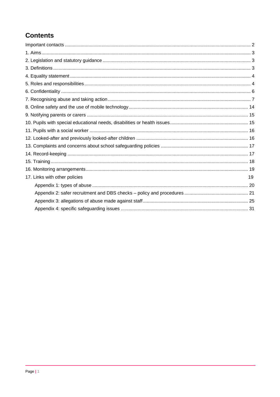# **Contents**

| 17. Links with other policies | 19 |  |
|-------------------------------|----|--|
|                               |    |  |
|                               |    |  |
|                               |    |  |
|                               |    |  |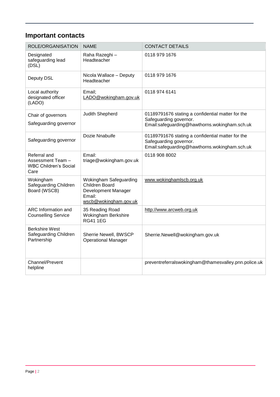# <span id="page-2-0"></span>**Important contacts**

<span id="page-2-1"></span>

| ROLE/ORGANISATION                                                         | <b>NAME</b>                                                                                        | <b>CONTACT DETAILS</b>                                                                                                       |
|---------------------------------------------------------------------------|----------------------------------------------------------------------------------------------------|------------------------------------------------------------------------------------------------------------------------------|
| Designated<br>safeguarding lead<br>(DSL)                                  | Raha Razeghi-<br>Headteacher                                                                       | 0118 979 1676                                                                                                                |
| Deputy DSL                                                                | Nicola Wallace - Deputy<br>Headteacher                                                             | 0118 979 1676                                                                                                                |
| Local authority<br>designated officer<br>(LADO)                           | Email;<br>LADO@wokingham.gov.uk                                                                    | 0118 974 6141                                                                                                                |
| Chair of governors<br>Safeguarding governor                               | Judith Shepherd                                                                                    | 01189791676 stating a confidential matter for the<br>Safeguarding governor.<br>Email:safeguarding@hawthorns.wokingham.sch.uk |
| Safeguarding governor                                                     | Dozie Nnabuife                                                                                     | 01189791676 stating a confidential matter for the<br>Safeguarding governor.<br>Email:safeguarding@hawthorns.wokingham.sch.uk |
| Referral and<br>Assessment Team -<br><b>WBC Children's Social</b><br>Care | Email:<br>triage@wokingham.gov.uk                                                                  | 0118 908 8002                                                                                                                |
| Wokingham<br>Safeguarding Children<br>Board (WSCB)                        | Wokingham Safeguarding<br>Children Board<br>Development Manager<br>Email:<br>wscb@wokingham.gov.uk | www.wokinghamlscb.org.uk                                                                                                     |
| ARC Information and<br><b>Counselling Service</b>                         | 35 Reading Road<br><b>Wokingham Berkshire</b><br><b>RG411EG</b>                                    | http://www.arcweb.org.uk                                                                                                     |
| <b>Berkshire West</b><br>Safeguarding Children<br>Partnership             | Sherrie Newell, BWSCP<br><b>Operational Manager</b>                                                | Sherrie.Newell@wokingham.gov.uk                                                                                              |
| Channel/Prevent<br>helpline                                               |                                                                                                    | preventreferralswokingham@thamesvalley.pnn.police.uk                                                                         |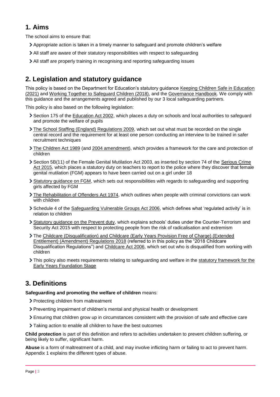# **1. Aims**

The school aims to ensure that:

- Appropriate action is taken in a timely manner to safeguard and promote children's welfare
- All staff are aware of their statutory responsibilities with respect to safeguarding
- All staff are properly training in recognising and reporting safeguarding issues

# <span id="page-3-0"></span>**2. Legislation and statutory guidance**

This policy is based on the Department for Education's statutory guidance [Keeping Children Safe in Education](https://www.gov.uk/government/publications/keeping-children-safe-in-education--2)  [\(2021\)](https://www.gov.uk/government/publications/keeping-children-safe-in-education--2) and [Working Together to Safeguard Children \(2018\),](https://www.gov.uk/government/publications/working-together-to-safeguard-children--2) and the [Governance Handbook.](https://www.gov.uk/government/publications/governance-handbook) We comply with this guidance and the arrangements agreed and published by our 3 local safeguarding partners.

This policy is also based on the following legislation:

- Section 175 of the [Education Act 2002,](http://www.legislation.gov.uk/ukpga/2002/32/section/175) which places a duty on schools and local authorities to safeguard and promote the welfare of pupils
- [The School Staffing \(England\) Regulations 2009,](http://www.legislation.gov.uk/uksi/2009/2680/contents/made) which set out what must be recorded on the single central record and the requirement for at least one person conducting an interview to be trained in safer recruitment techniques
- [The Children Act 1989](http://www.legislation.gov.uk/ukpga/1989/41) (and [2004 amendment\)](http://www.legislation.gov.uk/ukpga/2004/31/contents), which provides a framework for the care and protection of children
- Section 5B(11) of the Female Genital Mutilation Act 2003, as inserted by section 74 of the Serious Crime [Act 2015,](http://www.legislation.gov.uk/ukpga/2015/9/part/5/crossheading/female-genital-mutilation) which places a statutory duty on teachers to report to the police where they discover that female genital mutilation (FGM) appears to have been carried out on a girl under 18
- [Statutory guidance on FGM,](https://www.gov.uk/government/publications/multi-agency-statutory-guidance-on-female-genital-mutilation) which sets out responsibilities with regards to safeguarding and supporting girls affected by FGM
- [The Rehabilitation of Offenders Act 1974,](http://www.legislation.gov.uk/ukpga/1974/53) which outlines when people with criminal convictions can work with children
- Schedule 4 of the [Safeguarding Vulnerable Groups Act 2006,](http://www.legislation.gov.uk/ukpga/2006/47/schedule/4) which defines what 'regulated activity' is in relation to children
- [Statutory guidance on the Prevent duty,](https://www.gov.uk/government/publications/prevent-duty-guidance) which explains schools' duties under the Counter-Terrorism and Security Act 2015 with respect to protecting people from the risk of radicalisation and extremism
- The [Childcare \(Disqualification\) and Childcare \(Early Years Provision Free of Charge\) \(Extended](http://www.legislation.gov.uk/uksi/2018/794/contents/made)  [Entitlement\) \(Amendment\) Regulations 2018](http://www.legislation.gov.uk/uksi/2018/794/contents/made) (referred to in this policy as the "2018 Childcare Disqualification Regulations") and [Childcare Act 2006,](http://www.legislation.gov.uk/ukpga/2006/21/contents) which set out who is disqualified from working with children
- In This policy also meets requirements relating to safeguarding and welfare in the statutory framework for the [Early Years Foundation Stage](https://www.gov.uk/government/publications/early-years-foundation-stage-framework--2)

# <span id="page-3-1"></span>**3. Definitions**

**Safeguarding and promoting the welfare of children** means:

- > Protecting children from maltreatment
- Preventing impairment of children's mental and physical health or development
- Ensuring that children grow up in circumstances consistent with the provision of safe and effective care
- Taking action to enable all children to have the best outcomes

**Child protection** is part of this definition and refers to activities undertaken to prevent children suffering, or being likely to suffer, significant harm.

**Abuse** is a form of maltreatment of a child, and may involve inflicting harm or failing to act to prevent harm. Appendix 1 explains the different types of abuse.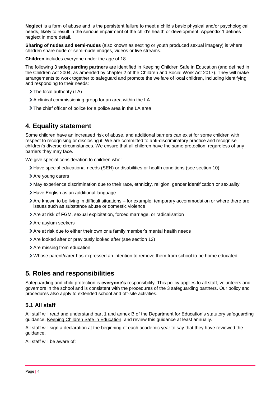**Neglect** is a form of abuse and is the persistent failure to meet a child's basic physical and/or psychological needs, likely to result in the serious impairment of the child's health or development. Appendix 1 defines neglect in more detail.

**Sharing of nudes and semi-nudes** (also known as sexting or youth produced sexual imagery) is where children share nude or semi-nude images, videos or live streams.

**Children** includes everyone under the age of 18.

The following 3 **safeguarding partners** are identified in Keeping Children Safe in Education (and defined in the Children Act 2004, as amended by chapter 2 of the Children and Social Work Act 2017). They will make arrangements to work together to safeguard and promote the welfare of local children, including identifying and responding to their needs:

- > The local authority (LA)
- A clinical commissioning group for an area within the LA
- The chief officer of police for a police area in the LA area

# <span id="page-4-0"></span>**4. Equality statement**

Some children have an increased risk of abuse, and additional barriers can exist for some children with respect to recognising or disclosing it. We are committed to anti-discriminatory practice and recognise children's diverse circumstances. We ensure that all children have the same protection, regardless of any barriers they may face.

We give special consideration to children who:

- Have special educational needs (SEN) or disabilities or health conditions (see section 10)
- > Are young carers
- May experience discrimination due to their race, ethnicity, religion, gender identification or sexuality
- > Have English as an additional language
- Are known to be living in difficult situations for example, temporary accommodation or where there are issues such as substance abuse or domestic violence
- Are at risk of FGM, sexual exploitation, forced marriage, or radicalisation
- > Are asylum seekers
- Are at risk due to either their own or a family member's mental health needs
- Are looked after or previously looked after (see section 12)
- > Are missing from education
- Whose parent/carer has expressed an intention to remove them from school to be home educated

# <span id="page-4-1"></span>**5. Roles and responsibilities**

Safeguarding and child protection is **everyone's** responsibility. This policy applies to all staff, volunteers and governors in the school and is consistent with the procedures of the 3 safeguarding partners. Our policy and procedures also apply to extended school and off-site activities.

#### **5.1 All staff**

All staff will read and understand part 1 and annex B of the Department for Education's statutory safeguarding guidance, [Keeping Children Safe in Education,](https://www.gov.uk/government/publications/keeping-children-safe-in-education--2) and review this guidance at least annually.

All staff will sign a declaration at the beginning of each academic year to say that they have reviewed the guidance.

All staff will be aware of: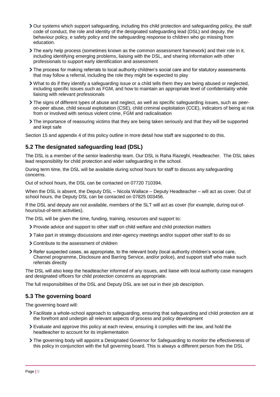- Our systems which support safeguarding, including this child protection and safeguarding policy, the staff code of conduct, the role and identity of the designated safeguarding lead (DSL) and deputy, the behaviour policy, e safety policy and the safeguarding response to children who go missing from education.
- The early help process (sometimes known as the common assessment framework) and their role in it, including identifying emerging problems, liaising with the DSL, and sharing information with other professionals to support early identification and assessment
- The process for making referrals to local authority children's social care and for statutory assessments that may follow a referral, including the role they might be expected to play
- What to do if they identify a safeguarding issue or a child tells them they are being abused or neglected, including specific issues such as FGM, and how to maintain an appropriate level of confidentiality while liaising with relevant professionals
- The signs of different types of abuse and neglect, as well as specific safeguarding issues, such as peeron-peer abuse, child sexual exploitation (CSE), child criminal exploitation (CCE), indicators of being at risk from or involved with serious violent crime, FGM and radicalisation
- The importance of reassuring victims that they are being taken seriously and that they will be supported and kept safe

Section 15 and appendix 4 of this policy outline in more detail how staff are supported to do this.

# **5.2 The designated safeguarding lead (DSL)**

The DSL is a member of the senior leadership team. Our DSL is Raha Razeghi, Headteacher. The DSL takes lead responsibility for child protection and wider safeguarding in the school.

During term time, the DSL will be available during school hours for staff to discuss any safeguarding concerns.

Out of school hours, the DSL can be contacted on 07720 710394.

When the DSL is absent, the Deputy DSL – Nicola Wallace – Deputy Headteacher – will act as cover. Out of school hours, the Deputy DSL can be contacted on 07825 003456.

If the DSL and deputy are not available, members of the SLT will act as cover (for example, during out-ofhours/out-of-term activities).

The DSL will be given the time, funding, training, resources and support to:

- Provide advice and support to other staff on child welfare and child protection matters
- Take part in strategy discussions and inter-agency meetings and/or support other staff to do so
- Contribute to the assessment of children
- Refer suspected cases, as appropriate, to the relevant body (local authority children's social care, Channel programme, Disclosure and Barring Service, and/or police), and support staff who make such referrals directly

The DSL will also keep the headteacher informed of any issues, and liaise with local authority case managers and designated officers for child protection concerns as appropriate.

The full responsibilities of the DSL and Deputy DSL are set out in their job description.

# **5.3 The governing board**

The governing board will:

- Facilitate a whole-school approach to safeguarding, ensuring that safeguarding and child protection are at the forefront and underpin all relevant aspects of process and policy development
- Evaluate and approve this policy at each review, ensuring it complies with the law, and hold the headteacher to account for its implementation
- The governing body will appoint a Designated Governor for Safeguarding to monitor the effectiveness of this policy in conjunction with the full governing board. This is always a different person from the DSL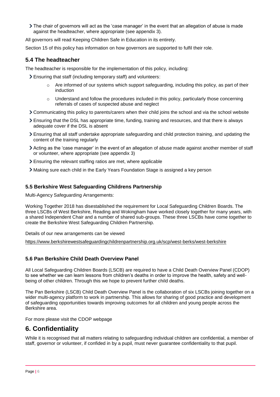The chair of governors will act as the 'case manager' in the event that an allegation of abuse is made against the headteacher, where appropriate (see appendix 3).

All governors will read Keeping Children Safe in Education in its entirety.

Section 15 of this policy has information on how governors are supported to fulfil their role.

# **5.4 The headteacher**

The headteacher is responsible for the implementation of this policy, including:

Ensuring that staff (including temporary staff) and volunteers:

- $\circ$  Are informed of our systems which support safeguarding, including this policy, as part of their induction
- $\circ$  Understand and follow the procedures included in this policy, particularly those concerning referrals of cases of suspected abuse and neglect
- Communicating this policy to parents/carers when their child joins the school and via the school website
- Ensuring that the DSL has appropriate time, funding, training and resources, and that there is always adequate cover if the DSL is absent
- Ensuring that all staff undertake appropriate safeguarding and child protection training, and updating the content of the training regularly
- Acting as the 'case manager' in the event of an allegation of abuse made against another member of staff or volunteer, where appropriate (see appendix 3)
- Ensuring the relevant staffing ratios are met, where applicable
- Making sure each child in the Early Years Foundation Stage is assigned a key person

# **5.5 Berkshire West Safeguarding Childrens Partnership**

Multi-Agency Safeguarding Arrangements:

Working Together 2018 has disestablished the requirement for Local Safeguarding Children Boards. The three LSCBs of West Berkshire, Reading and Wokingham have worked closely together for many years, with a shared Independent Chair and a number of shared sub-groups. These three LSCBs have come together to create the Berkshire West Safeguarding Children Partnership.

Details of our new arrangements can be viewed

<https://www.berkshirewestsafeguardingchildrenpartnership.org.uk/scp/west-berks/west-berkshire>

# **5.6 Pan Berkshire Child Death Overview Panel**

All Local Safeguarding Children Boards (LSCB) are required to have a Child Death Overview Panel (CDOP) to see whether we can learn lessons from children's deaths in order to improve the health, safety and wellbeing of other children. Through this we hope to prevent further child deaths.

The Pan Berkshire (LSCB) Child Death Overview Panel is the collaboration of six LSCBs joining together on a wider multi-agency platform to work in partnership. This allows for sharing of good practice and development of safeguarding opportunities towards improving outcomes for all children and young people across the Berkshire area.

For more please visit the [CDOP webpage](http://www.westberkslscb.org.uk/professionals-volunteers/cdop/)

# <span id="page-6-0"></span>**6. Confidentiality**

While it is recognised that all matters relating to safeguarding individual children are confidential, a member of staff, governor or volunteer, if confided in by a pupil, must never guarantee confidentiality to that pupil.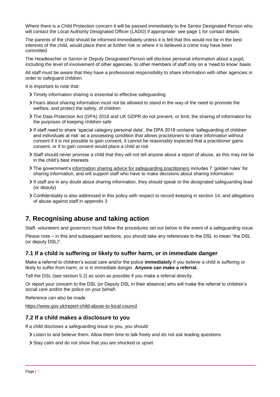Where there is a Child Protection concern it will be passed immediately to the Senior Designated Person who will contact the Local Authority Designated Officer (LADO) if appropriate- see page 1 for contact details

The parents of the child should be informed immediately unless it is felt that this would not be in the best interests of the child, would place them at further risk or where it is believed a crime may have been committed

The Headteacher or Senior or Deputy Designated Person will disclose personal information about a pupil, including the level of involvement of other agencies, to other members of staff only on a 'need to know' basis.

All staff must be aware that they have a professional responsibility to share information with other agencies in order to safeguard children.

It is important to note that:

- Timely information sharing is essential to effective safeguarding
- Fears about sharing information must not be allowed to stand in the way of the need to promote the welfare, and protect the safety, of children
- The Data Protection Act (DPA) 2018 and UK GDPR do not prevent, or limit, the sharing of information for the purposes of keeping children safe
- If staff need to share 'special category personal data', the DPA 2018 contains 'safeguarding of children and individuals at risk' as a processing condition that allows practitioners to share information without consent if it is not possible to gain consent, it cannot be reasonably expected that a practitioner gains consent, or if to gain consent would place a child at risk
- Staff should never promise a child that they will not tell anyone about a report of abuse, as this may not be in the child's best interests
- The government's [information sharing advice for safeguarding practitioners](https://www.gov.uk/government/publications/safeguarding-practitioners-information-sharing-advice) includes 7 'golden rules' for sharing information, and will support staff who have to make decisions about sharing information
- If staff are in any doubt about sharing information, they should speak to the designated safeguarding lead (or deputy)
- Confidentiality is also addressed in this policy with respect to record-keeping in section 14, and allegations of abuse against staff in appendix 3

# <span id="page-7-0"></span>**7. Recognising abuse and taking action**

Staff, volunteers and governors must follow the procedures set out below in the event of a safeguarding issue.

Please note – in this and subsequent sections, you should take any references to the DSL to mean "the DSL (or deputy DSL)".

# **7.1 If a child is suffering or likely to suffer harm, or in immediate danger**

Make a referral to children's social care and/or the police **immediately** if you believe a child is suffering or likely to suffer from harm, or is in immediate danger. **Anyone can make a referral.**

Tell the DSL (see section 5.2) as soon as possible if you make a referral directly.

Or report your concern to the DSL (or Deputy DSL in their absence) who will make the referral to children's social care and/or the police on your behalf.

Reference can also be made

<https://www.gov.uk/report-child-abuse-to-local-council>

#### **7.2 If a child makes a disclosure to you**

If a child discloses a safeguarding issue to you, you should:

- Listen to and believe them. Allow them time to talk freely and do not ask leading questions
- Stay calm and do not show that you are shocked or upset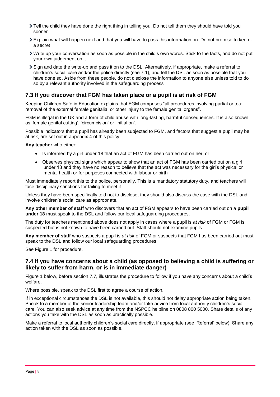- Tell the child they have done the right thing in telling you. Do not tell them they should have told you sooner
- Explain what will happen next and that you will have to pass this information on. Do not promise to keep it a secret
- Write up your conversation as soon as possible in the child's own words. Stick to the facts, and do not put your own judgement on it
- Sign and date the write-up and pass it on to the DSL. Alternatively, if appropriate, make a referral to children's social care and/or the police directly (see 7.1), and tell the DSL as soon as possible that you have done so. Aside from these people, do not disclose the information to anyone else unless told to do so by a relevant authority involved in the safeguarding process

# **7.3 If you discover that FGM has taken place or a pupil is at risk of FGM**

Keeping Children Safe in Education explains that FGM comprises "all procedures involving partial or total removal of the external female genitalia, or other injury to the female genital organs".

FGM is illegal in the UK and a form of child abuse with long-lasting, harmful consequences. It is also known as 'female genital cutting', 'circumcision' or 'initiation'.

Possible indicators that a pupil has already been subjected to FGM, and factors that suggest a pupil may be at risk, are set out in appendix 4 of this policy.

**Any teacher** who either:

- Is informed by a girl under 18 that an act of FGM has been carried out on her; or
- Observes physical signs which appear to show that an act of FGM has been carried out on a girl under 18 and they have no reason to believe that the act was necessary for the girl's physical or mental health or for purposes connected with labour or birth

Must immediately report this to the police, personally. This is a mandatory statutory duty, and teachers will face disciplinary sanctions for failing to meet it.

Unless they have been specifically told not to disclose, they should also discuss the case with the DSL and involve children's social care as appropriate.

**Any other member of staff** who discovers that an act of FGM appears to have been carried out on a **pupil under 18** must speak to the DSL and follow our local safeguarding procedures.

The duty for teachers mentioned above does not apply in cases where a pupil is *at risk* of FGM or FGM is suspected but is not known to have been carried out. Staff should not examine pupils.

**Any member of staff** who suspects a pupil is *at risk* of FGM or suspects that FGM has been carried out must speak to the DSL and follow our local safeguarding procedures.

See Figure 1 for procedure.

# **7.4 If you have concerns about a child (as opposed to believing a child is suffering or likely to suffer from harm, or is in immediate danger)**

Figure 1 below, before section 7.7, illustrates the procedure to follow if you have any concerns about a child's welfare.

Where possible, speak to the DSL first to agree a course of action.

If in exceptional circumstances the DSL is not available, this should not delay appropriate action being taken. Speak to a member of the senior leadership team and/or take advice from local authority children's social care. You can also seek advice at any time from the NSPCC helpline on 0808 800 5000. Share details of any actions you take with the DSL as soon as practically possible.

Make a referral to local authority children's social care directly, if appropriate (see 'Referral' below). Share any action taken with the DSL as soon as possible.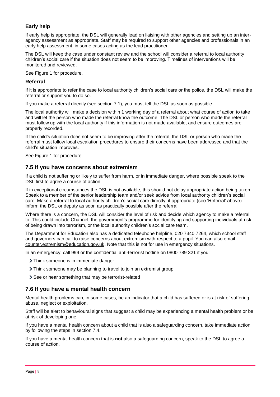# **Early help**

If early help is appropriate, the DSL will generally lead on liaising with other agencies and setting up an interagency assessment as appropriate. Staff may be required to support other agencies and professionals in an early help assessment, in some cases acting as the lead practitioner.

The DSL will keep the case under constant review and the school will consider a referral to local authority children's social care if the situation does not seem to be improving. Timelines of interventions will be monitored and reviewed.

See Figure 1 for procedure.

#### **Referral**

If it is appropriate to refer the case to local authority children's social care or the police, the DSL will make the referral or support you to do so.

If you make a referral directly (see section 7.1), you must tell the DSL as soon as possible.

The local authority will make a decision within 1 working day of a referral about what course of action to take and will let the person who made the referral know the outcome. The DSL or person who made the referral must follow up with the local authority if this information is not made available, and ensure outcomes are properly recorded.

If the child's situation does not seem to be improving after the referral, the DSL or person who made the referral must follow local escalation procedures to ensure their concerns have been addressed and that the child's situation improves.

See Figure 1 for procedure.

# **7.5 If you have concerns about extremism**

If a child is not suffering or likely to suffer from harm, or in immediate danger, where possible speak to the DSL first to agree a course of action.

If in exceptional circumstances the DSL is not available, this should not delay appropriate action being taken. Speak to a member of the senior leadership team and/or seek advice from local authority children's social care. Make a referral to local authority children's social care directly, if appropriate (see 'Referral' above). Inform the DSL or deputy as soon as practically possible after the referral.

Where there is a concern, the DSL will consider the level of risk and decide which agency to make a referral to. This could include [Channel,](https://www.gov.uk/government/publications/channel-guidance) the government's programme for identifying and supporting individuals at risk of being drawn into terrorism, or the local authority children's social care team.

The Department for Education also has a dedicated telephone helpline, 020 7340 7264, which school staff and governors can call to raise concerns about extremism with respect to a pupil. You can also email [counter.extremism@education.gov.uk.](mailto:counter.extremism@education.gov.uk) Note that this is not for use in emergency situations.

In an emergency, call 999 or the confidential anti-terrorist hotline on 0800 789 321 if you:

> Think someone is in immediate danger

Think someone may be planning to travel to join an extremist group

See or hear something that may be terrorist-related

# **7.6 If you have a mental health concern**

Mental health problems can, in some cases, be an indicator that a child has suffered or is at risk of suffering abuse, neglect or exploitation.

Staff will be alert to behavioural signs that suggest a child may be experiencing a mental health problem or be at risk of developing one.

If you have a mental health concern about a child that is also a safeguarding concern, take immediate action by following the steps in section 7.4.

If you have a mental health concern that is **not** also a safeguarding concern, speak to the DSL to agree a course of action.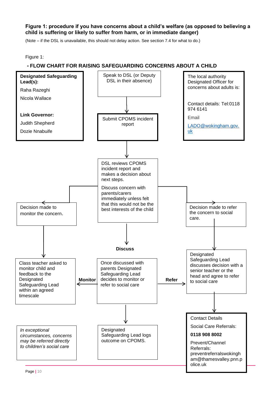# **Figure 1: procedure if you have concerns about a child's welfare (as opposed to believing a child is suffering or likely to suffer from harm, or in immediate danger)**

(Note – if the DSL is unavailable, this should not delay action. See section 7.4 for what to do.)

Figure 1:

# **- FLOW CHART FOR RAISING SAFEGUARDING CONCERNS ABOUT A CHILD**

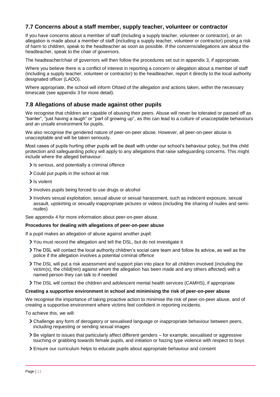# **7.7 Concerns about a staff member, supply teacher, volunteer or contractor**

If you have concerns about a member of staff (including a supply teacher, volunteer or contractor), or an allegation is made about a member of staff (including a supply teacher, volunteer or contractor) posing a risk of harm to children, speak to the headteacher as soon as possible. If the concerns/allegations are about the headteacher, speak to the chair of governors.

The headteacher/chair of governors will then follow the procedures set out in appendix 3, if appropriate.

Where you believe there is a conflict of interest in reporting a concern or allegation about a member of staff (including a supply teacher, volunteer or contractor) to the headteacher, report it directly to the local authority designated officer (LADO).

Where appropriate, the school will inform Ofsted of the allegation and actions taken, within the necessary timescale (see appendix 3 for more detail).

# **7.8 Allegations of abuse made against other pupils**

We recognise that children are capable of abusing their peers. Abuse will never be tolerated or passed off as "banter", "just having a laugh" or "part of growing up", as this can lead to a culture of unacceptable behaviours and an unsafe environment for pupils.

We also recognise the gendered nature of peer-on-peer abuse. However, all peer-on-peer abuse is unacceptable and will be taken seriously.

Most cases of pupils hurting other pupils will be dealt with under our school's behaviour policy, but this child protection and safeguarding policy will apply to any allegations that raise safeguarding concerns. This might include where the alleged behaviour:

- $\ge$  Is serious, and potentially a criminal offence
- Could put pupils in the school at risk
- > Is violent
- Involves pupils being forced to use drugs or alcohol
- Involves sexual exploitation, sexual abuse or sexual harassment, such as indecent exposure, sexual assault, upskirting or sexually inappropriate pictures or videos (including the sharing of nudes and seminudes)

See appendix 4 for more information about peer-on-peer abuse.

#### **Procedures for dealing with allegations of peer-on-peer abuse**

If a pupil makes an allegation of abuse against another pupil:

- You must record the allegation and tell the DSL, but do not investigate it
- The DSL will contact the local authority children's social care team and follow its advice, as well as the police if the allegation involves a potential criminal offence
- The DSL will put a risk assessment and support plan into place for all children involved (including the victim(s), the child(ren) against whom the allegation has been made and any others affected) with a named person they can talk to if needed
- The DSL will contact the children and adolescent mental health services (CAMHS), if appropriate

#### **Creating a supportive environment in school and minimising the risk of peer-on-peer abuse**

We recognise the importance of taking proactive action to minimise the risk of peer-on-peer abuse, and of creating a supportive environment where victims feel confident in reporting incidents.

To achieve this, we will:

- Challenge any form of derogatory or sexualised language or inappropriate behaviour between peers, including requesting or sending sexual images
- Be vigilant to issues that particularly affect different genders for example, sexualised or aggressive touching or grabbing towards female pupils, and initiation or hazing type violence with respect to boys
- Ensure our curriculum helps to educate pupils about appropriate behaviour and consent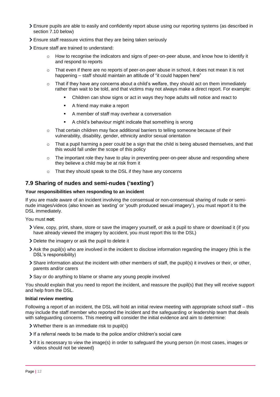- Ensure pupils are able to easily and confidently report abuse using our reporting systems (as described in section 7.10 below)
- Ensure staff reassure victims that they are being taken seriously
- Ensure staff are trained to understand:
	- $\circ$  How to recognise the indicators and signs of peer-on-peer abuse, and know how to identify it and respond to reports
	- $\circ$  That even if there are no reports of peer-on-peer abuse in school, it does not mean it is not happening – staff should maintain an attitude of "it could happen here"
	- $\circ$  That if they have any concerns about a child's welfare, they should act on them immediately rather than wait to be told, and that victims may not always make a direct report. For example:
		- Children can show signs or act in ways they hope adults will notice and react to
		- A friend may make a report
		- A member of staff may overhear a conversation
		- A child's behaviour might indicate that something is wrong
	- $\circ$  That certain children may face additional barriers to telling someone because of their vulnerability, disability, gender, ethnicity and/or sexual orientation
	- $\circ$  That a pupil harming a peer could be a sign that the child is being abused themselves, and that this would fall under the scope of this policy
	- $\circ$  The important role they have to play in preventing peer-on-peer abuse and responding where they believe a child may be at risk from it
	- o That they should speak to the DSL if they have any concerns

# **7.9 Sharing of nudes and semi-nudes ('sexting')**

#### **Your responsibilities when responding to an incident**

If you are made aware of an incident involving the consensual or non-consensual sharing of nude or seminude images/videos (also known as 'sexting' or 'youth produced sexual imagery'), you must report it to the DSL immediately.

You must **not**:

- View, copy, print, share, store or save the imagery yourself, or ask a pupil to share or download it (if you have already viewed the imagery by accident, you must report this to the DSL)
- Delete the imagery or ask the pupil to delete it
- Ask the pupil(s) who are involved in the incident to disclose information regarding the imagery (this is the DSL's responsibility)
- Share information about the incident with other members of staff, the pupil(s) it involves or their, or other, parents and/or carers
- Say or do anything to blame or shame any young people involved

You should explain that you need to report the incident, and reassure the pupil(s) that they will receive support and help from the DSL.

#### **Initial review meeting**

Following a report of an incident, the DSL will hold an initial review meeting with appropriate school staff – this may include the staff member who reported the incident and the safeguarding or leadership team that deals with safeguarding concerns. This meeting will consider the initial evidence and aim to determine:

- Whether there is an immediate risk to pupil(s)
- If a referral needs to be made to the police and/or children's social care
- If it is necessary to view the image(s) in order to safeguard the young person (in most cases, images or videos should not be viewed)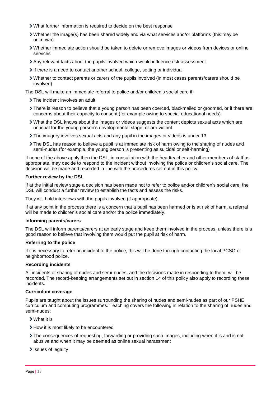- What further information is required to decide on the best response
- Whether the image(s) has been shared widely and via what services and/or platforms (this may be unknown)
- Whether immediate action should be taken to delete or remove images or videos from devices or online services
- Any relevant facts about the pupils involved which would influence risk assessment
- If there is a need to contact another school, college, setting or individual
- Whether to contact parents or carers of the pupils involved (in most cases parents/carers should be involved)

The DSL will make an immediate referral to police and/or children's social care if:

- > The incident involves an adult
- There is reason to believe that a young person has been coerced, blackmailed or groomed, or if there are concerns about their capacity to consent (for example owing to special educational needs)
- If What the DSL knows about the images or videos suggests the content depicts sexual acts which are unusual for the young person's developmental stage, or are violent
- The imagery involves sexual acts and any pupil in the images or videos is under 13
- The DSL has reason to believe a pupil is at immediate risk of harm owing to the sharing of nudes and semi-nudes (for example, the young person is presenting as suicidal or self-harming)

If none of the above apply then the DSL, in consultation with the headteacher and other members of staff as appropriate, may decide to respond to the incident without involving the police or children's social care. The decision will be made and recorded in line with the procedures set out in this policy.

#### **Further review by the DSL**

If at the initial review stage a decision has been made not to refer to police and/or children's social care, the DSL will conduct a further review to establish the facts and assess the risks.

They will hold interviews with the pupils involved (if appropriate).

If at any point in the process there is a concern that a pupil has been harmed or is at risk of harm, a referral will be made to children's social care and/or the police immediately.

#### **Informing parents/carers**

The DSL will inform parents/carers at an early stage and keep them involved in the process, unless there is a good reason to believe that involving them would put the pupil at risk of harm.

#### **Referring to the police**

If it is necessary to refer an incident to the police, this will be done through contacting the local PCSO or neighborhood police.

#### **Recording incidents**

All incidents of sharing of nudes and semi-nudes, and the decisions made in responding to them, will be recorded. The record-keeping arrangements set out in section 14 of this policy also apply to recording these incidents.

#### **Curriculum coverage**

Pupils are taught about the issues surrounding the sharing of nudes and semi-nudes as part of our PSHE curriculum and computing programmes. Teaching covers the following in relation to the sharing of nudes and semi-nudes:

- What it is
- > How it is most likely to be encountered
- The consequences of requesting, forwarding or providing such images, including when it is and is not abusive and when it may be deemed as online sexual harassment
- Issues of legality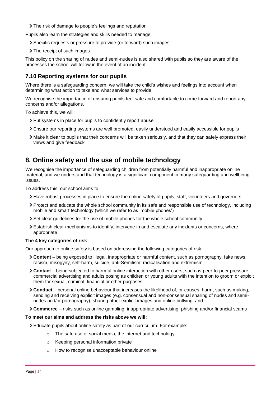The risk of damage to people's feelings and reputation

Pupils also learn the strategies and skills needed to manage:

- Specific requests or pressure to provide (or forward) such images
- > The receipt of such images

This policy on the sharing of nudes and semi-nudes is also shared with pupils so they are aware of the processes the school will follow in the event of an incident.

# **7.10 Reporting systems for our pupils**

Where there is a safeguarding concern, we will take the child's wishes and feelings into account when determining what action to take and what services to provide.

We recognise the importance of ensuring pupils feel safe and comfortable to come forward and report any concerns and/or allegations.

To achieve this, we will:

- > Put systems in place for pupils to confidently report abuse
- Ensure our reporting systems are well promoted, easily understood and easily accessible for pupils
- Make it clear to pupils that their concerns will be taken seriously, and that they can safely express their views and give feedback

# <span id="page-14-0"></span>**8. Online safety and the use of mobile technology**

We recognise the importance of safeguarding children from potentially harmful and inappropriate online material, and we understand that technology is a significant component in many safeguarding and wellbeing issues.

To address this, our school aims to:

- Have robust processes in place to ensure the online safety of pupils, staff, volunteers and governors
- Protect and educate the whole school community in its safe and responsible use of technology, including mobile and smart technology (which we refer to as 'mobile phones')
- Set clear guidelines for the use of mobile phones for the whole school community
- Establish clear mechanisms to identify, intervene in and escalate any incidents or concerns, where appropriate

#### **The 4 key categories of risk**

Our approach to online safety is based on addressing the following categories of risk:

- **Content** being exposed to illegal, inappropriate or harmful content, such as pornography, fake news, racism, misogyny, self-harm, suicide, anti-Semitism, radicalisation and extremism
- **Contact** being subjected to harmful online interaction with other users, such as peer-to-peer pressure, commercial advertising and adults posing as children or young adults with the intention to groom or exploit them for sexual, criminal, financial or other purposes
- **Conduct** personal online behaviour that increases the likelihood of, or causes, harm, such as making, sending and receiving explicit images (e.g. consensual and non-consensual sharing of nudes and seminudes and/or pornography), sharing other explicit images and online bullying; and
- **Commerce** risks such as online gambling, inappropriate advertising, phishing and/or financial scams

#### **To meet our aims and address the risks above we will:**

- Educate pupils about online safety as part of our curriculum. For example:
	- o The safe use of social media, the internet and technology
	- o Keeping personal information private
	- o How to recognise unacceptable behaviour online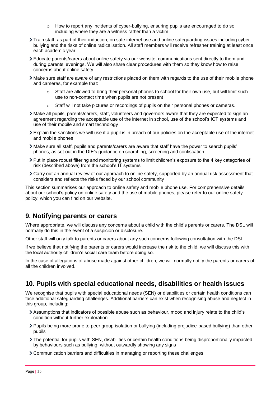- $\circ$  How to report any incidents of cyber-bullying, ensuring pupils are encouraged to do so, including where they are a witness rather than a victim
- Train staff, as part of their induction, on safe internet use and online safeguarding issues including cyberbullying and the risks of online radicalisation. All staff members will receive refresher training at least once each academic year
- Educate parents/carers about online safety via our website, communications sent directly to them and during parents' evenings. We will also share clear procedures with them so they know how to raise concerns about online safety
- Make sure staff are aware of any restrictions placed on them with regards to the use of their mobile phone and cameras, for example that:
	- $\circ$  Staff are allowed to bring their personal phones to school for their own use, but will limit such use to non-contact time when pupils are not present
	- o Staff will not take pictures or recordings of pupils on their personal phones or cameras.
- Make all pupils, parents/carers, staff, volunteers and governors aware that they are expected to sign an agreement regarding the acceptable use of the internet in school, use of the school's ICT systems and use of their mobile and smart technology
- Explain the sanctions we will use if a pupil is in breach of our policies on the acceptable use of the internet and mobile phones
- Make sure all staff, pupils and parents/carers are aware that staff have the power to search pupils' phones, as set out in the [DfE's guidance on searching, screening and confiscation](https://www.gov.uk/government/publications/searching-screening-and-confiscation)
- Put in place robust filtering and monitoring systems to limit children's exposure to the 4 key categories of risk (described above) from the school's IT systems
- Carry out an annual review of our approach to online safety, supported by an annual risk assessment that considers and reflects the risks faced by our school community

This section summarises our approach to online safety and mobile phone use. For comprehensive details about our school's policy on online safety and the use of mobile phones, please refer to our online safety policy, which you can find on our website.

# <span id="page-15-0"></span>**9. Notifying parents or carers**

Where appropriate, we will discuss any concerns about a child with the child's parents or carers. The DSL will normally do this in the event of a suspicion or disclosure.

Other staff will only talk to parents or carers about any such concerns following consultation with the DSL.

If we believe that notifying the parents or carers would increase the risk to the child, we will discuss this with the local authority children's social care team before doing so.

In the case of allegations of abuse made against other children, we will normally notify the parents or carers of all the children involved.

# <span id="page-15-1"></span>**10. Pupils with special educational needs, disabilities or health issues**

We recognise that pupils with special educational needs (SEN) or disabilities or certain health conditions can face additional safeguarding challenges. Additional barriers can exist when recognising abuse and neglect in this group, including:

- Assumptions that indicators of possible abuse such as behaviour, mood and injury relate to the child's condition without further exploration
- Pupils being more prone to peer group isolation or bullying (including prejudice-based bullying) than other pupils
- The potential for pupils with SEN, disabilities or certain health conditions being disproportionally impacted by behaviours such as bullying, without outwardly showing any signs
- Communication barriers and difficulties in managing or reporting these challenges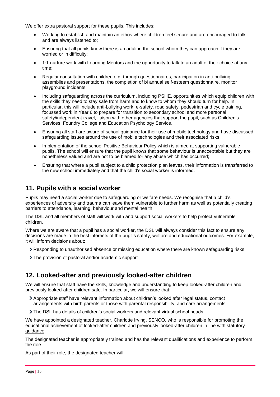We offer extra pastoral support for these pupils. This includes:

- Working to establish and maintain an ethos where children feel secure and are encouraged to talk and are always listened to;
- Ensuring that all pupils know there is an adult in the school whom they can approach if they are worried or in difficulty;
- 1:1 nurture work with Learning Mentors and the opportunity to talk to an adult of their choice at any time;
- Regular consultation with children e.g. through questionnaires, participation in anti-bullying assemblies and presentations, the completion of bi annual self-esteem questionnaire, monitor playground incidents;
- Including safeguarding across the curriculum, including PSHE, opportunities which equip children with the skills they need to stay safe from harm and to know to whom they should turn for help. In particular, this will include anti-bullying work, e-safety, road safety, pedestrian and cycle training, focussed work in Year 6 to prepare for transition to secondary school and more personal safety/independent travel, liaison with other agencies that support the pupil, such as Children's Services, Foundry College and Education Psychology Service.
- Ensuring all staff are aware of school guidance for their use of mobile technology and have discussed safeguarding issues around the use of mobile technologies and their associated risks.
- Implementation of the school Positive Behaviour Policy which is aimed at supporting vulnerable pupils. The school will ensure that the pupil knows that some behaviour is unacceptable but they are nonetheless valued and are not to be blamed for any abuse which has occurred;
- Ensuring that where a pupil subject to a child protection plan leaves, their information is transferred to the new school immediately and that the child's social worker is informed.

# <span id="page-16-0"></span>**11. Pupils with a social worker**

Pupils may need a social worker due to safeguarding or welfare needs. We recognise that a child's experiences of adversity and trauma can leave them vulnerable to further harm as well as potentially creating barriers to attendance, learning, behaviour and mental health.

The DSL and all members of staff will work with and support social workers to help protect vulnerable children.

Where we are aware that a pupil has a social worker, the DSL will always consider this fact to ensure any decisions are made in the best interests of the pupil's safety, welfare and educational outcomes. For example, it will inform decisions about:

- Responding to unauthorised absence or missing education where there are known safeguarding risks
- The provision of pastoral and/or academic support

# <span id="page-16-1"></span>**12. Looked-after and previously looked-after children**

We will ensure that staff have the skills, knowledge and understanding to keep looked-after children and previously looked-after children safe. In particular, we will ensure that:

- Appropriate staff have relevant information about children's looked after legal status, contact arrangements with birth parents or those with parental responsibility, and care arrangements
- The DSL has details of children's social workers and relevant virtual school heads

We have appointed a designated teacher, Charlotte Irving, SENCO, who is responsible for promoting the educational achievement of looked-after children and previously looked-after children in line with [statutory](https://www.gov.uk/government/publications/designated-teacher-for-looked-after-children)  [guidance.](https://www.gov.uk/government/publications/designated-teacher-for-looked-after-children)

The designated teacher is appropriately trained and has the relevant qualifications and experience to perform the role.

As part of their role, the designated teacher will: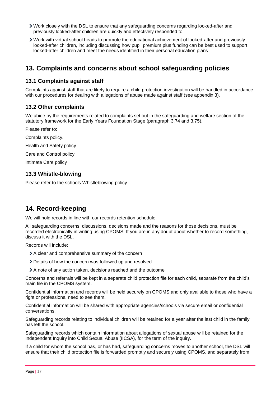- Work closely with the DSL to ensure that any safeguarding concerns regarding looked-after and previously looked-after children are quickly and effectively responded to
- Work with virtual school heads to promote the educational achievement of looked-after and previously looked-after children, including discussing how pupil premium plus funding can be best used to support looked-after children and meet the needs identified in their personal education plans

# <span id="page-17-0"></span>**13. Complaints and concerns about school safeguarding policies**

# **13.1 Complaints against staff**

Complaints against staff that are likely to require a child protection investigation will be handled in accordance with our procedures for dealing with allegations of abuse made against staff (see appendix 3).

# **13.2 Other complaints**

We abide by the requirements related to complaints set out in the safeguarding and welfare section of the statutory framework for the Early Years Foundation Stage (paragraph 3.74 and 3.75).

Please refer to:

Complaints policy. Health and Safety policy Care and Control policy

Intimate Care policy

# **13.3 Whistle-blowing**

Please refer to the schools Whistleblowing policy.

# <span id="page-17-1"></span>**14. Record-keeping**

We will hold records in line with our records retention schedule.

All safeguarding concerns, discussions, decisions made and the reasons for those decisions, must be recorded electronically in writing using CPOMS. If you are in any doubt about whether to record something, discuss it with the DSL.

Records will include:

- A clear and comprehensive summary of the concern
- Details of how the concern was followed up and resolved
- A note of any action taken, decisions reached and the outcome

Concerns and referrals will be kept in a separate child protection file for each child, separate from the child's main file in the CPOMS system.

Confidential information and records will be held securely on CPOMS and only available to those who have a right or professional need to see them.

Confidential information will be shared with appropriate agencies/schools via secure email or confidential conversations.

Safeguarding records relating to individual children will be retained for a year after the last child in the family has left the school.

Safeguarding records which contain information about allegations of sexual abuse will be retained for the Independent Inquiry into Child Sexual Abuse (IICSA), for the term of the inquiry.

If a child for whom the school has, or has had, safeguarding concerns moves to another school, the DSL will ensure that their child protection file is forwarded promptly and securely using CPOMS, and separately from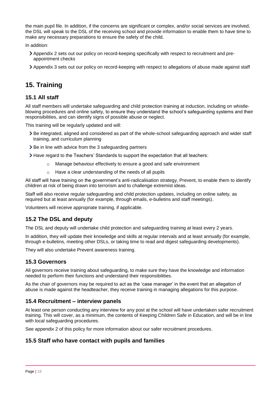the main pupil file. In addition, if the concerns are significant or complex, and/or social services are involved, the DSL will speak to the DSL of the receiving school and provide information to enable them to have time to make any necessary preparations to ensure the safety of the child.

In addition:

- Appendix 2 sets out our policy on record-keeping specifically with respect to recruitment and preappointment checks
- Appendix 3 sets out our policy on record-keeping with respect to allegations of abuse made against staff

# <span id="page-18-0"></span>**15. Training**

# **15.1 All staff**

All staff members will undertake safeguarding and child protection training at induction, including on whistleblowing procedures and online safety, to ensure they understand the school's safeguarding systems and their responsibilities, and can identify signs of possible abuse or neglect.

This training will be regularly updated and will:

- Be integrated, aligned and considered as part of the whole-school safeguarding approach and wider staff training, and curriculum planning
- > Be in line with advice from the 3 safeguarding partners

Have regard to the Teachers' Standards to support the expectation that all teachers:

- Manage behaviour effectively to ensure a good and safe environment
	- o Have a clear understanding of the needs of all pupils

All staff will have training on the government's anti-radicalisation strategy, Prevent, to enable them to identify children at risk of being drawn into terrorism and to challenge extremist ideas.

Staff will also receive regular safeguarding and child protection updates, including on online safety, as required but at least annually (for example, through emails, e-bulletins and staff meetings).

Volunteers will receive appropriate training, if applicable.

# **15.2 The DSL and deputy**

The DSL and deputy will undertake child protection and safeguarding training at least every 2 years.

In addition, they will update their knowledge and skills at regular intervals and at least annually (for example, through e-bulletins, meeting other DSLs, or taking time to read and digest safeguarding developments).

They will also undertake Prevent awareness training.

# **15.3 Governors**

All governors receive training about safeguarding, to make sure they have the knowledge and information needed to perform their functions and understand their responsibilities.

As the chair of governors may be required to act as the 'case manager' in the event that an allegation of abuse is made against the headteacher, they receive training in managing allegations for this purpose.

# **15.4 Recruitment – interview panels**

At least one person conducting any interview for any post at the school will have undertaken safer recruitment training. This will cover, as a minimum, the contents of Keeping Children Safe in Education, and will be in line with local safeguarding procedures.

See appendix 2 of this policy for more information about our safer recruitment procedures.

# **15.5 Staff who have contact with pupils and families**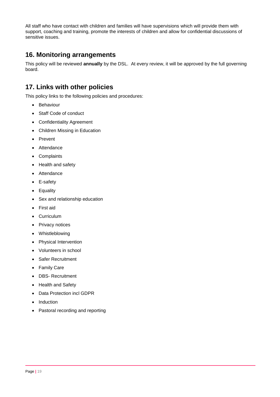All staff who have contact with children and families will have supervisions which will provide them with support, coaching and training, promote the interests of children and allow for confidential discussions of sensitive issues.

# <span id="page-19-0"></span>**16. Monitoring arrangements**

This policy will be reviewed **annually** by the DSL. At every review, it will be approved by the full governing board.

# <span id="page-19-1"></span>**17. Links with other policies**

This policy links to the following policies and procedures:

- Behaviour
- Staff Code of conduct
- Confidentiality Agreement
- Children Missing in Education
- Prevent
- Attendance
- Complaints
- Health and safety
- Attendance
- E-safety
- Equality
- Sex and relationship education
- First aid
- **Curriculum**
- Privacy notices
- Whistleblowing
- Physical Intervention
- Volunteers in school
- Safer Recruitment
- Family Care
- DBS- Recruitment
- Health and Safety
- Data Protection incl GDPR
- **Induction**
- Pastoral recording and reporting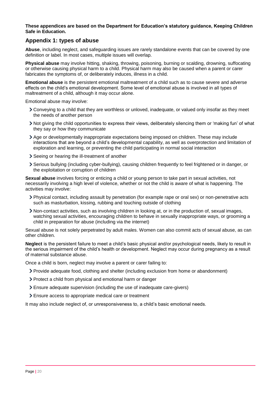#### **These appendices are based on the Department for Education's statutory guidance, Keeping Children Safe in Education.**

# <span id="page-20-0"></span>**Appendix 1: types of abuse**

**Abuse**, including neglect, and safeguarding issues are rarely standalone events that can be covered by one definition or label. In most cases, multiple issues will overlap.

**Physical abuse** may involve hitting, shaking, throwing, poisoning, burning or scalding, drowning, suffocating or otherwise causing physical harm to a child. Physical harm may also be caused when a parent or carer fabricates the symptoms of, or deliberately induces, illness in a child.

**Emotional abuse** is the persistent emotional maltreatment of a child such as to cause severe and adverse effects on the child's emotional development. Some level of emotional abuse is involved in all types of maltreatment of a child, although it may occur alone.

Emotional abuse may involve:

- Conveying to a child that they are worthless or unloved, inadequate, or valued only insofar as they meet the needs of another person
- Not giving the child opportunities to express their views, deliberately silencing them or 'making fun' of what they say or how they communicate
- Age or developmentally inappropriate expectations being imposed on children. These may include interactions that are beyond a child's developmental capability, as well as overprotection and limitation of exploration and learning, or preventing the child participating in normal social interaction
- Seeing or hearing the ill-treatment of another
- Serious bullying (including cyber-bullying), causing children frequently to feel frightened or in danger, or the exploitation or corruption of children

**Sexual abuse** involves forcing or enticing a child or young person to take part in sexual activities, not necessarily involving a high level of violence, whether or not the child is aware of what is happening. The activities may involve:

- Physical contact, including assault by penetration (for example rape or oral sex) or non-penetrative acts such as masturbation, kissing, rubbing and touching outside of clothing
- Non-contact activities, such as involving children in looking at, or in the production of, sexual images, watching sexual activities, encouraging children to behave in sexually inappropriate ways, or grooming a child in preparation for abuse (including via the internet)

Sexual abuse is not solely perpetrated by adult males. Women can also commit acts of sexual abuse, as can other children.

**Neglect** is the persistent failure to meet a child's basic physical and/or psychological needs, likely to result in the serious impairment of the child's health or development. Neglect may occur during pregnancy as a result of maternal substance abuse.

Once a child is born, neglect may involve a parent or carer failing to:

- Provide adequate food, clothing and shelter (including exclusion from home or abandonment)
- Protect a child from physical and emotional harm or danger
- Ensure adequate supervision (including the use of inadequate care-givers)
- Ensure access to appropriate medical care or treatment

It may also include neglect of, or unresponsiveness to, a child's basic emotional needs.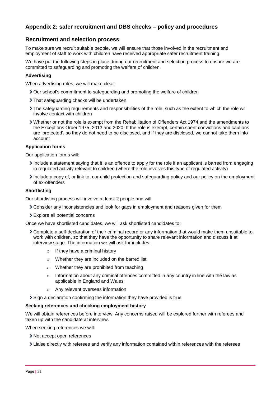# <span id="page-21-0"></span>**Appendix 2: safer recruitment and DBS checks – policy and procedures**

# **Recruitment and selection process**

To make sure we recruit suitable people, we will ensure that those involved in the recruitment and employment of staff to work with children have received appropriate safer recruitment training.

We have put the following steps in place during our recruitment and selection process to ensure we are committed to safeguarding and promoting the welfare of children.

#### **Advertising**

When advertising roles, we will make clear:

- Our school's commitment to safeguarding and promoting the welfare of children
- > That safeguarding checks will be undertaken
- The safeguarding requirements and responsibilities of the role, such as the extent to which the role will involve contact with children
- Whether or not the role is exempt from the Rehabilitation of Offenders Act 1974 and the amendments to the Exceptions Order 1975, 2013 and 2020. If the role is exempt, certain spent convictions and cautions are 'protected', so they do not need to be disclosed, and if they are disclosed, we cannot take them into account

#### **Application forms**

Our application forms will:

- Include a statement saying that it is an offence to apply for the role if an applicant is barred from engaging in regulated activity relevant to children (where the role involves this type of regulated activity)
- Include a copy of, or link to, our child protection and safeguarding policy and our policy on the employment of ex-offenders

#### **Shortlisting**

Our shortlisting process will involve at least 2 people and will:

- Consider any inconsistencies and look for gaps in employment and reasons given for them
- Explore all potential concerns

Once we have shortlisted candidates, we will ask shortlisted candidates to:

- Complete a self-declaration of their criminal record or any information that would make them unsuitable to work with children, so that they have the opportunity to share relevant information and discuss it at interview stage. The information we will ask for includes:
	- $\circ$  If they have a criminal history
	- o Whether they are included on the barred list
	- o Whether they are prohibited from teaching
	- $\circ$  Information about any criminal offences committed in any country in line with the law as applicable in England and Wales
	- o Any relevant overseas information

Sign a declaration confirming the information they have provided is true

#### **Seeking references and checking employment history**

We will obtain references before interview. Any concerns raised will be explored further with referees and taken up with the candidate at interview.

When seeking references we will:

> Not accept open references

Liaise directly with referees and verify any information contained within references with the referees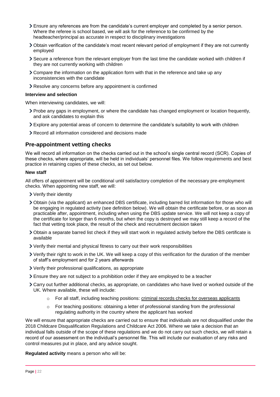- Ensure any references are from the candidate's current employer and completed by a senior person. Where the referee is school based, we will ask for the reference to be confirmed by the headteacher/principal as accurate in respect to disciplinary investigations
- Obtain verification of the candidate's most recent relevant period of employment if they are not currently employed
- Secure a reference from the relevant employer from the last time the candidate worked with children if they are not currently working with children
- Compare the information on the application form with that in the reference and take up any inconsistencies with the candidate
- Resolve any concerns before any appointment is confirmed

#### **Interview and selection**

When interviewing candidates, we will:

- Probe any gaps in employment, or where the candidate has changed employment or location frequently, and ask candidates to explain this
- Explore any potential areas of concern to determine the candidate's suitability to work with children
- Record all information considered and decisions made

# **Pre-appointment vetting checks**

We will record all information on the checks carried out in the school's single central record (SCR). Copies of these checks, where appropriate, will be held in individuals' personnel files. We follow requirements and best practice in retaining copies of these checks, as set out below.

#### **New staff**

All offers of appointment will be conditional until satisfactory completion of the necessary pre-employment checks. When appointing new staff, we will:

- Verify their identity
- Obtain (via the applicant) an enhanced DBS certificate, including barred list information for those who will be engaging in regulated activity (see definition below). We will obtain the certificate before, or as soon as practicable after, appointment, including when using the DBS update service. We will not keep a copy of the certificate for longer than 6 months, but when the copy is destroyed we may still keep a record of the fact that vetting took place, the result of the check and recruitment decision taken
- Obtain a separate barred list check if they will start work in regulated activity before the DBS certificate is available
- Verify their mental and physical fitness to carry out their work responsibilities
- Verify their right to work in the UK. We will keep a copy of this verification for the duration of the member of staff's employment and for 2 years afterwards
- Verify their professional qualifications, as appropriate
- Ensure they are not subject to a prohibition order if they are employed to be a teacher
- Carry out further additional checks, as appropriate, on candidates who have lived or worked outside of the UK. Where available, these will include:
	- $\circ$  For all staff, including teaching positions: [criminal records checks for overseas applicants](https://www.gov.uk/government/publications/criminal-records-checks-for-overseas-applicants)
	- $\circ$  For teaching positions: obtaining a letter of professional standing from the professional regulating authority in the country where the applicant has worked

We will ensure that appropriate checks are carried out to ensure that individuals are not disqualified under the 2018 Childcare Disqualification Regulations and Childcare Act 2006. Where we take a decision that an individual falls outside of the scope of these regulations and we do not carry out such checks, we will retain a record of our assessment on the individual's personnel file. This will include our evaluation of any risks and control measures put in place, and any advice sought.

**Regulated activity** means a person who will be: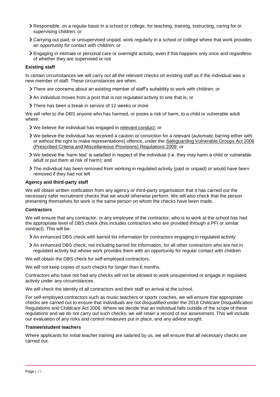- Responsible, on a regular basis in a school or college, for teaching, training, instructing, caring for or supervising children; or
- Carrying out paid, or unsupervised unpaid, work regularly in a school or college where that work provides an opportunity for contact with children; or
- Engaging in intimate or personal care or overnight activity, even if this happens only once and regardless of whether they are supervised or not

#### **Existing staff**

In certain circumstances we will carry out all the relevant checks on existing staff as if the individual was a new member of staff. These circumstances are when:

- There are concerns about an existing member of staff's suitability to work with children; or
- An individual moves from a post that is not regulated activity to one that is; or
- > There has been a break in service of 12 weeks or more

We will refer to the DBS anyone who has harmed, or poses a risk of harm, to a child or vulnerable adult where:

- We believe the individual has engaged in [relevant conduct;](https://www.gov.uk/guidance/making-barring-referrals-to-the-dbs#relevant-conduct-in-relation-to-children) or
- We believe the individual has received a caution or conviction for a relevant (automatic barring either with or without the right to make representations) offence, under the [Safeguarding Vulnerable Groups Act 2006](http://www.legislation.gov.uk/uksi/2009/37/contents/made)  [\(Prescribed Criteria and Miscellaneous Provisions\) Regulations 2009;](http://www.legislation.gov.uk/uksi/2009/37/contents/made) or
- We believe the 'harm test' is satisfied in respect of the individual (i.e. they may harm a child or vulnerable adult or put them at risk of harm); and
- The individual has been removed from working in regulated activity (paid or unpaid) or would have been removed if they had not left

#### **Agency and third-party staff**

We will obtain written notification from any agency or third-party organisation that it has carried out the necessary safer recruitment checks that we would otherwise perform. We will also check that the person presenting themselves for work is the same person on whom the checks have been made.

#### **Contractors**

We will ensure that any contractor, or any employee of the contractor, who is to work at the school has had the appropriate level of DBS check (this includes contractors who are provided through a PFI or similar contract). This will be:

- An enhanced DBS check with barred list information for contractors engaging in regulated activity
- An enhanced DBS check, not including barred list information, for all other contractors who are not in regulated activity but whose work provides them with an opportunity for regular contact with children

We will obtain the DBS check for self-employed contractors.

We will not keep copies of such checks for longer than 6 months.

Contractors who have not had any checks will not be allowed to work unsupervised or engage in regulated activity under any circumstances.

We will check the identity of all contractors and their staff on arrival at the school.

For self-employed contractors such as music teachers or sports coaches, we will ensure that appropriate checks are carried out to ensure that individuals are not disqualified under the 2018 Childcare Disqualification Regulations and Childcare Act 2006. Where we decide that an individual falls outside of the scope of these regulations and we do not carry out such checks, we will retain a record of our assessment. This will include our evaluation of any risks and control measures put in place, and any advice sought.

#### **Trainee/student teachers**

Where applicants for initial teacher training are salaried by us, we will ensure that all necessary checks are carried out.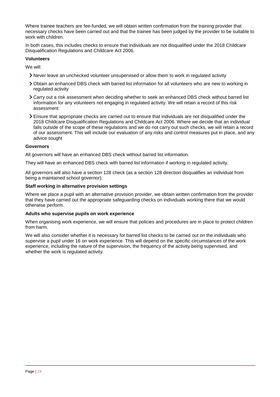Where trainee teachers are fee-funded, we will obtain written confirmation from the training provider that necessary checks have been carried out and that the trainee has been judged by the provider to be suitable to work with children.

In both cases, this includes checks to ensure that individuals are not disqualified under the 2018 Childcare Disqualification Regulations and Childcare Act 2006.

#### **Volunteers**

We will:

- Never leave an unchecked volunteer unsupervised or allow them to work in regulated activity
- Obtain an enhanced DBS check with barred list information for all volunteers who are new to working in regulated activity
- Carry out a risk assessment when deciding whether to seek an enhanced DBS check without barred list information for any volunteers not engaging in regulated activity. We will retain a record of this risk assessment
- Ensure that appropriate checks are carried out to ensure that individuals are not disqualified under the 2018 Childcare Disqualification Regulations and Childcare Act 2006. Where we decide that an individual falls outside of the scope of these regulations and we do not carry out such checks, we will retain a record of our assessment. This will include our evaluation of any risks and control measures put in place, and any advice sought

#### **Governors**

All governors will have an enhanced DBS check without barred list information.

They will have an enhanced DBS check with barred list information if working in regulated activity.

All governors will also have a section 128 check (as a section 128 direction disqualifies an individual from being a maintained school governor).

#### **Staff working in alternative provision settings**

Where we place a pupil with an alternative provision provider, we obtain written confirmation from the provider that they have carried out the appropriate safeguarding checks on individuals working there that we would otherwise perform.

#### **Adults who supervise pupils on work experience**

When organising work experience, we will ensure that policies and procedures are in place to protect children from harm.

We will also consider whether it is necessary for barred list checks to be carried out on the individuals who supervise a pupil under 16 on work experience. This will depend on the specific circumstances of the work experience, including the nature of the supervision, the frequency of the activity being supervised, and whether the work is regulated activity.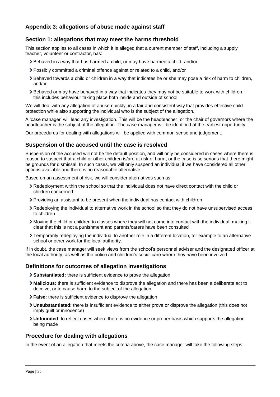# <span id="page-25-0"></span>**Appendix 3: allegations of abuse made against staff**

# **Section 1: allegations that may meet the harms threshold**

This section applies to all cases in which it is alleged that a current member of staff, including a supply teacher, volunteer or contractor, has:

- Behaved in a way that has harmed a child, or may have harmed a child, and/or
- Possibly committed a criminal offence against or related to a child, and/or
- Behaved towards a child or children in a way that indicates he or she may pose a risk of harm to children, and/or
- $\geq$  Behaved or may have behaved in a way that indicates they may not be suitable to work with children this includes behaviour taking place both inside and outside of school

We will deal with any allegation of abuse quickly, in a fair and consistent way that provides effective child protection while also supporting the individual who is the subject of the allegation.

A 'case manager' will lead any investigation. This will be the headteacher, or the chair of governors where the headteacher is the subject of the allegation. The case manager will be identified at the earliest opportunity.

Our procedures for dealing with allegations will be applied with common sense and judgement.

# **Suspension of the accused until the case is resolved**

Suspension of the accused will not be the default position, and will only be considered in cases where there is reason to suspect that a child or other children is/are at risk of harm, or the case is so serious that there might be grounds for dismissal. In such cases, we will only suspend an individual if we have considered all other options available and there is no reasonable alternative.

Based on an assessment of risk, we will consider alternatives such as:

- Redeployment within the school so that the individual does not have direct contact with the child or children concerned
- Providing an assistant to be present when the individual has contact with children
- Redeploying the individual to alternative work in the school so that they do not have unsupervised access to children
- Moving the child or children to classes where they will not come into contact with the individual, making it clear that this is not a punishment and parents/carers have been consulted
- Temporarily redeploying the individual to another role in a different location, for example to an alternative school or other work for the local authority.

If in doubt, the case manager will seek views from the school's personnel adviser and the designated officer at the local authority, as well as the police and children's social care where they have been involved.

#### **Definitions for outcomes of allegation investigations**

- **Substantiated:** there is sufficient evidence to prove the allegation
- **Malicious:** there is sufficient evidence to disprove the allegation and there has been a deliberate act to deceive, or to cause harm to the subject of the allegation
- **False:** there is sufficient evidence to disprove the allegation
- **Unsubstantiated:** there is insufficient evidence to either prove or disprove the allegation (this does not imply guilt or innocence)
- **Unfounded**: to reflect cases where there is no evidence or proper basis which supports the allegation being made

#### **Procedure for dealing with allegations**

In the event of an allegation that meets the criteria above, the case manager will take the following steps: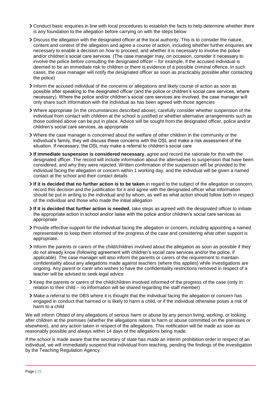- Conduct basic enquiries in line with local procedures to establish the facts to help determine whether there is any foundation to the allegation before carrying on with the steps below
- Discuss the allegation with the designated officer at the local authority. This is to consider the nature, content and context of the allegation and agree a course of action, including whether further enquiries are necessary to enable a decision on how to proceed, and whether it is necessary to involve the police and/or children's social care services. (The case manager may, on occasion, consider it necessary to involve the police *before* consulting the designated officer – for example, if the accused individual is deemed to be an immediate risk to children or there is evidence of a possible criminal offence. In such cases, the case manager will notify the designated officer as soon as practicably possible after contacting the police)
- Inform the accused individual of the concerns or allegations and likely course of action as soon as possible after speaking to the designated officer (and the police or children's social care services, where necessary). Where the police and/or children's social care services are involved, the case manager will only share such information with the individual as has been agreed with those agencies
- Where appropriate (in the circumstances described above), carefully consider whether suspension of the individual from contact with children at the school is justified or whether alternative arrangements such as those outlined above can be put in place. Advice will be sought from the designated officer, police and/or children's social care services, as appropriate
- Where the case manager is concerned about the welfare of other children in the community or the individual's family, they will discuss these concerns with the DSL and make a risk assessment of the situation. If necessary, the DSL may make a referral to children's social care
- **If immediate suspension is considered necessary**, agree and record the rationale for this with the designated officer. The record will include information about the alternatives to suspension that have been considered, and why they were rejected. Written confirmation of the suspension will be provided to the individual facing the allegation or concern within 1 working day, and the individual will be given a named contact at the school and their contact details
- **If it is decided that no further action is to be taken** in regard to the subject of the allegation or concern, record this decision and the justification for it and agree with the designated officer what information should be put in writing to the individual and by whom, as well as what action should follow both in respect of the individual and those who made the initial allegation
- **If it is decided that further action is needed**, take steps as agreed with the designated officer to initiate the appropriate action in school and/or liaise with the police and/or children's social care services as appropriate
- Provide effective support for the individual facing the allegation or concern, including appointing a named representative to keep them informed of the progress of the case and considering what other support is appropriate.
- Inform the parents or carers of the child/children involved about the allegation as soon as possible if they do not already know (following agreement with children's social care services and/or the police, if applicable). The case manager will also inform the parents or carers of the requirement to maintain confidentiality about any allegations made against teachers (where this applies) while investigations are ongoing. Any parent or carer who wishes to have the confidentiality restrictions removed in respect of a teacher will be advised to seek legal advice
- Keep the parents or carers of the child/children involved informed of the progress of the case (only in relation to their child – no information will be shared regarding the staff member)
- Make a referral to the DBS where it is thought that the individual facing the allegation or concern has engaged in conduct that harmed or is likely to harm a child, or if the individual otherwise poses a risk of harm to a child

We will inform Ofsted of any allegations of serious harm or abuse by any person living, working, or looking after children at the premises (whether the allegations relate to harm or abuse committed on the premises or elsewhere), and any action taken in respect of the allegations. This notification will be made as soon as reasonably possible and always within 14 days of the allegations being made.

If the school is made aware that the secretary of state has made an interim prohibition order in respect of an individual, we will immediately suspend that individual from teaching, pending the findings of the investigation by the Teaching Regulation Agency.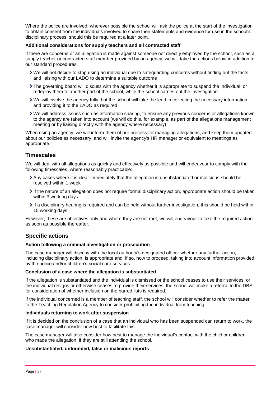Where the police are involved, wherever possible the school will ask the police at the start of the investigation to obtain consent from the individuals involved to share their statements and evidence for use in the school's disciplinary process, should this be required at a later point.

#### **Additional considerations for supply teachers and all contracted staff**

If there are concerns or an allegation is made against someone not directly employed by the school, such as a supply teacher or contracted staff member provided by an agency, we will take the actions below in addition to our standard procedures.

- We will not decide to stop using an individual due to safeguarding concerns without finding out the facts and liaising with our LADO to determine a suitable outcome
- The governing board will discuss with the agency whether it is appropriate to suspend the individual, or redeploy them to another part of the school, while the school carries out the investigation
- We will involve the agency fully, but the school will take the lead in collecting the necessary information and providing it to the LADO as required
- We will address issues such as information sharing, to ensure any previous concerns or allegations known to the agency are taken into account (we will do this, for example, as part of the allegations management meeting or by liaising directly with the agency where necessary)

When using an agency, we will inform them of our process for managing allegations, and keep them updated about our policies as necessary, and will invite the agency's HR manager or equivalent to meetings as appropriate.

#### **Timescales**

We will deal with all allegations as quickly and effectively as possible and will endeavour to comply with the following timescales, where reasonably practicable:

- Any cases where it is clear immediately that the allegation is unsubstantiated or malicious should be resolved within 1 week
- If the nature of an allegation does not require formal disciplinary action, appropriate action should be taken within 3 working days
- If a disciplinary hearing is required and can be held without further investigation, this should be held within 15 working days

However, these are objectives only and where they are not met, we will endeavour to take the required action as soon as possible thereafter.

# **Specific actions**

#### **Action following a criminal investigation or prosecution**

The case manager will discuss with the local authority's designated officer whether any further action, including disciplinary action, is appropriate and, if so, how to proceed, taking into account information provided by the police and/or children's social care services.

#### **Conclusion of a case where the allegation is substantiated**

If the allegation is substantiated and the individual is dismissed or the school ceases to use their services, or the individual resigns or otherwise ceases to provide their services, the school will make a referral to the DBS for consideration of whether inclusion on the barred lists is required.

If the individual concerned is a member of teaching staff, the school will consider whether to refer the matter to the Teaching Regulation Agency to consider prohibiting the individual from teaching.

#### **Individuals returning to work after suspension**

If it is decided on the conclusion of a case that an individual who has been suspended can return to work, the case manager will consider how best to facilitate this.

The case manager will also consider how best to manage the individual's contact with the child or children who made the allegation, if they are still attending the school.

#### **Unsubstantiated, unfounded, false or malicious reports**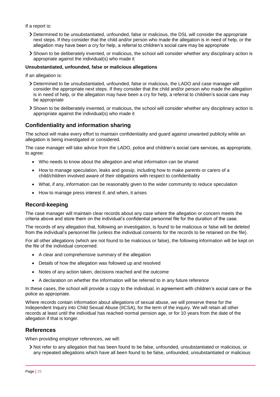If a report is:

- Determined to be unsubstantiated, unfounded, false or malicious, the DSL will consider the appropriate next steps. If they consider that the child and/or person who made the allegation is in need of help, or the allegation may have been a cry for help, a referral to children's social care may be appropriate
- Shown to be deliberately invented, or malicious, the school will consider whether any disciplinary action is appropriate against the individual(s) who made it

#### **Unsubstantiated, unfounded, false or malicious allegations**

If an allegation is:

- Determined to be unsubstantiated, unfounded, false or malicious, the LADO and case manager will consider the appropriate next steps. If they consider that the child and/or person who made the allegation is in need of help, or the allegation may have been a cry for help, a referral to children's social care may be appropriate
- Shown to be deliberately invented, or malicious, the school will consider whether any disciplinary action is appropriate against the individual(s) who made it

# **Confidentiality and information sharing**

The school will make every effort to maintain confidentiality and guard against unwanted publicity while an allegation is being investigated or considered.

The case manager will take advice from the LADO, police and children's social care services, as appropriate, to agree:

- Who needs to know about the allegation and what information can be shared
- How to manage speculation, leaks and gossip, including how to make parents or carers of a child/children involved aware of their obligations with respect to confidentiality
- What, if any, information can be reasonably given to the wider community to reduce speculation
- How to manage press interest if, and when, it arises

# **Record-keeping**

The case manager will maintain clear records about any case where the allegation or concern meets the criteria above and store them on the individual's confidential personnel file for the duration of the case.

The records of any allegation that, following an investigation, is found to be malicious or false will be deleted from the individual's personnel file (unless the individual consents for the records to be retained on the file).

For all other allegations (which are not found to be malicious or false), the following information will be kept on the file of the individual concerned:

- A clear and comprehensive summary of the allegation
- Details of how the allegation was followed up and resolved
- Notes of any action taken, decisions reached and the outcome
- A declaration on whether the information will be referred to in any future reference

In these cases, the school will provide a copy to the individual, in agreement with children's social care or the police as appropriate.

Where records contain information about allegations of sexual abuse, we will preserve these for the Independent Inquiry into Child Sexual Abuse (IICSA), for the term of the inquiry. We will retain all other records at least until the individual has reached normal pension age, or for 10 years from the date of the allegation if that is longer.

# **References**

When providing employer references, we will:

Not refer to any allegation that has been found to be false, unfounded, unsubstantiated or malicious, or any repeated allegations which have all been found to be false, unfounded, unsubstantiated or malicious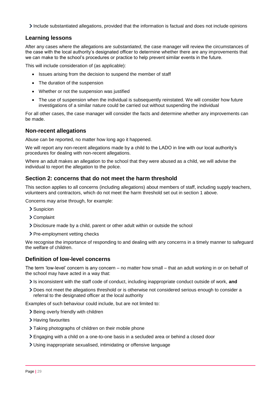Include substantiated allegations, provided that the information is factual and does not include opinions

# **Learning lessons**

After any cases where the allegations are *substantiated*, the case manager will review the circumstances of the case with the local authority's designated officer to determine whether there are any improvements that we can make to the school's procedures or practice to help prevent similar events in the future.

This will include consideration of (as applicable):

- Issues arising from the decision to suspend the member of staff
- The duration of the suspension
- Whether or not the suspension was justified
- The use of suspension when the individual is subsequently reinstated. We will consider how future investigations of a similar nature could be carried out without suspending the individual

For all other cases, the case manager will consider the facts and determine whether any improvements can be made.

# **Non-recent allegations**

Abuse can be reported, no matter how long ago it happened.

We will report any non-recent allegations made by a child to the LADO in line with our local authority's procedures for dealing with non-recent allegations.

Where an adult makes an allegation to the school that they were abused as a child, we will advise the individual to report the allegation to the police.

# **Section 2: concerns that do not meet the harm threshold**

This section applies to all concerns (including allegations) about members of staff, including supply teachers, volunteers and contractors, which do not meet the harm threshold set out in section 1 above.

Concerns may arise through, for example:

- > Suspicion
- Complaint
- Disclosure made by a child, parent or other adult within or outside the school
- > Pre-employment vetting checks

We recognise the importance of responding to and dealing with any concerns in a timely manner to safeguard the welfare of children.

# **Definition of low-level concerns**

The term 'low-level' concern is any concern – no matter how small – that an adult working in or on behalf of the school may have acted in a way that:

- Is inconsistent with the staff code of conduct, including inappropriate conduct outside of work, **and**
- Does not meet the allegations threshold or is otherwise not considered serious enough to consider a referral to the designated officer at the local authority

Examples of such behaviour could include, but are not limited to:

- > Being overly friendly with children
- > Having favourites
- Taking photographs of children on their mobile phone
- Engaging with a child on a one-to-one basis in a secluded area or behind a closed door
- Using inappropriate sexualised, intimidating or offensive language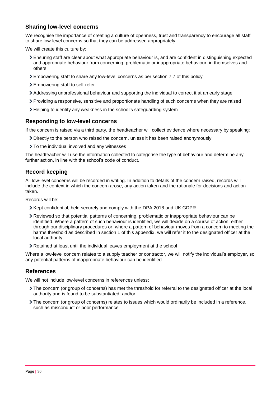# **Sharing low-level concerns**

We recognise the importance of creating a culture of openness, trust and transparency to encourage all staff to share low-level concerns so that they can be addressed appropriately.

We will create this culture by:

- Ensuring staff are clear about what appropriate behaviour is, and are confident in distinguishing expected and appropriate behaviour from concerning, problematic or inappropriate behaviour, in themselves and others
- Empowering staff to share any low-level concerns as per section 7.7 of this policy
- Empowering staff to self-refer
- Addressing unprofessional behaviour and supporting the individual to correct it at an early stage
- Providing a responsive, sensitive and proportionate handling of such concerns when they are raised
- Helping to identify any weakness in the school's safeguarding system

# **Responding to low-level concerns**

If the concern is raised via a third party, the headteacher will collect evidence where necessary by speaking:

- Directly to the person who raised the concern, unless it has been raised anonymously
- > To the individual involved and any witnesses

The headteacher will use the information collected to categorise the type of behaviour and determine any further action, in line with the school's code of conduct.

# **Record keeping**

All low-level concerns will be recorded in writing. In addition to details of the concern raised, records will include the context in which the concern arose, any action taken and the rationale for decisions and action taken.

Records will be:

- Kept confidential, held securely and comply with the DPA 2018 and UK GDPR
- Reviewed so that potential patterns of concerning, problematic or inappropriate behaviour can be identified. Where a pattern of such behaviour is identified, we will decide on a course of action, either through our disciplinary procedures or, where a pattern of behaviour moves from a concern to meeting the harms threshold as described in section 1 of this appendix, we will refer it to the designated officer at the local authority
- Retained at least until the individual leaves employment at the school

Where a low-level concern relates to a supply teacher or contractor, we will notify the individual's employer, so any potential patterns of inappropriate behaviour can be identified.

# **References**

We will not include low-level concerns in references unless:

- The concern (or group of concerns) has met the threshold for referral to the designated officer at the local authority and is found to be substantiated; and/or
- The concern (or group of concerns) relates to issues which would ordinarily be included in a reference, such as misconduct or poor performance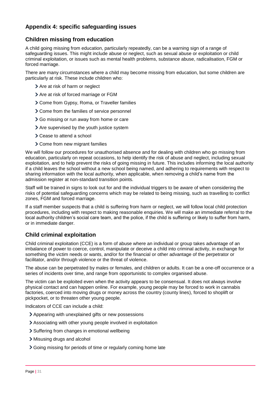# <span id="page-31-0"></span>**Appendix 4: specific safeguarding issues**

# **Children missing from education**

A child going missing from education, particularly repeatedly, can be a warning sign of a range of safeguarding issues. This might include abuse or neglect, such as sexual abuse or exploitation or child criminal exploitation, or issues such as mental health problems, substance abuse, radicalisation, FGM or forced marriage.

There are many circumstances where a child may become missing from education, but some children are particularly at risk. These include children who:

- > Are at risk of harm or neglect
- > Are at risk of forced marriage or FGM
- Come from Gypsy, Roma, or Traveller families
- > Come from the families of service personnel
- Go missing or run away from home or care
- Are supervised by the youth justice system
- > Cease to attend a school
- Come from new migrant families

We will follow our procedures for unauthorised absence and for dealing with children who go missing from education, particularly on repeat occasions, to help identify the risk of abuse and neglect, including sexual exploitation, and to help prevent the risks of going missing in future. This includes informing the local authority if a child leaves the school without a new school being named, and adhering to requirements with respect to sharing information with the local authority, when applicable, when removing a child's name from the admission register at non-standard transition points.

Staff will be trained in signs to look out for and the individual triggers to be aware of when considering the risks of potential safeguarding concerns which may be related to being missing, such as travelling to conflict zones, FGM and forced marriage.

If a staff member suspects that a child is suffering from harm or neglect, we will follow local child protection procedures, including with respect to making reasonable enquiries. We will make an immediate referral to the local authority children's social care team, and the police, if the child is suffering or likely to suffer from harm, or in immediate danger.

# **Child criminal exploitation**

Child criminal exploitation (CCE) is a form of abuse where an individual or group takes advantage of an imbalance of power to coerce, control, manipulate or deceive a child into criminal activity, in exchange for something the victim needs or wants, and/or for the financial or other advantage of the perpetrator or facilitator, and/or through violence or the threat of violence.

The abuse can be perpetrated by males or females, and children or adults. It can be a one-off occurrence or a series of incidents over time, and range from opportunistic to complex organised abuse.

The victim can be exploited even when the activity appears to be consensual. It does not always involve physical contact and can happen online. For example, young people may be forced to work in cannabis factories, coerced into moving drugs or money across the country (county lines), forced to shoplift or pickpocket, or to threaten other young people.

Indicators of CCE can include a child:

- Appearing with unexplained gifts or new possessions
- Associating with other young people involved in exploitation
- > Suffering from changes in emotional wellbeing
- Misusing drugs and alcohol
- Going missing for periods of time or regularly coming home late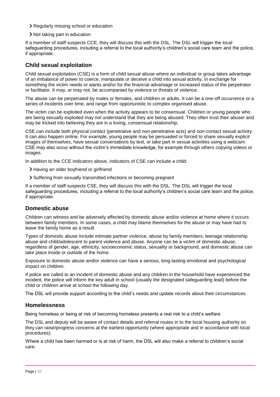- Regularly missing school or education
- > Not taking part in education

If a member of staff suspects CCE, they will discuss this with the DSL. The DSL will trigger the local safeguarding procedures, including a referral to the local authority's children's social care team and the police, if appropriate.

# **Child sexual exploitation**

Child sexual exploitation (CSE) is a form of child sexual abuse where an individual or group takes advantage of an imbalance of power to coerce, manipulate or deceive a child into sexual activity, in exchange for something the victim needs or wants and/or for the financial advantage or increased status of the perpetrator or facilitator. It may, or may not, be accompanied by violence or threats of violence.

The abuse can be perpetrated by males or females, and children or adults. It can be a one-off occurrence or a series of incidents over time, and range from opportunistic to complex organised abuse.

The victim can be exploited even when the activity appears to be consensual. Children or young people who are being sexually exploited may not understand that they are being abused. They often trust their abuser and may be tricked into believing they are in a loving, consensual relationship.

CSE can include both physical contact (penetrative and non-penetrative acts) and non-contact sexual activity. It can also happen online. For example, young people may be persuaded or forced to share sexually explicit images of themselves, have sexual conversations by text, or take part in sexual activities using a webcam. CSE may also occur without the victim's immediate knowledge, for example through others copying videos or images.

In addition to the CCE indicators above, indicators of CSE can include a child:

- > Having an older boyfriend or girlfriend
- Suffering from sexually transmitted infections or becoming pregnant

If a member of staff suspects CSE, they will discuss this with the DSL. The DSL will trigger the local safeguarding procedures, including a referral to the local authority's children's social care team and the police, if appropriate.

# **Domestic abuse**

Children can witness and be adversely affected by domestic abuse and/or violence at home where it occurs between family members. In some cases, a child may blame themselves for the abuse or may have had to leave the family home as a result.

Types of domestic abuse include intimate partner violence, abuse by family members, teenage relationship abuse and child/adolescent to parent violence and abuse. Anyone can be a victim of domestic abuse, regardless of gender, age, ethnicity, socioeconomic status, sexuality or background, and domestic abuse can take place inside or outside of the home.

Exposure to domestic abuse and/or violence can have a serious, long-lasting emotional and psychological impact on children.

If police are called to an incident of domestic abuse and any children in the household have experienced the incident, the police will inform the key adult in school (usually the designated safeguarding lead) before the child or children arrive at school the following day.

The DSL will provide support according to the child's needs and update records about their circumstances.

# **Homelessness**

Being homeless or being at risk of becoming homeless presents a real risk to a child's welfare.

The DSL and deputy will be aware of contact details and referral routes in to the local housing authority so they can raise/progress concerns at the earliest opportunity (where appropriate and in accordance with local procedures).

Where a child has been harmed or is at risk of harm, the DSL will also make a referral to children's social care.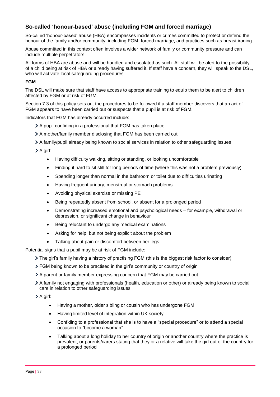# **So-called 'honour-based' abuse (including FGM and forced marriage)**

So-called 'honour-based' abuse (HBA) encompasses incidents or crimes committed to protect or defend the honour of the family and/or community, including FGM, forced marriage, and practices such as breast ironing.

Abuse committed in this context often involves a wider network of family or community pressure and can include multiple perpetrators.

All forms of HBA are abuse and will be handled and escalated as such. All staff will be alert to the possibility of a child being at risk of HBA or already having suffered it. If staff have a concern, they will speak to the DSL, who will activate local safeguarding procedures.

#### **FGM**

The DSL will make sure that staff have access to appropriate training to equip them to be alert to children affected by FGM or at risk of FGM.

Section 7.3 of this policy sets out the procedures to be followed if a staff member discovers that an act of FGM appears to have been carried out or suspects that a pupil is at risk of FGM.

Indicators that FGM has already occurred include:

- A pupil confiding in a professional that FGM has taken place
- A mother/family member disclosing that FGM has been carried out
- A family/pupil already being known to social services in relation to other safeguarding issues

A girl:

- Having difficulty walking, sitting or standing, or looking uncomfortable
- Finding it hard to sit still for long periods of time (where this was not a problem previously)
- Spending longer than normal in the bathroom or toilet due to difficulties urinating
- Having frequent urinary, menstrual or stomach problems
- Avoiding physical exercise or missing PE
- Being repeatedly absent from school, or absent for a prolonged period
- Demonstrating increased emotional and psychological needs for example, withdrawal or depression, or significant change in behaviour
- Being reluctant to undergo any medical examinations
- Asking for help, but not being explicit about the problem
- Talking about pain or discomfort between her legs

Potential signs that a pupil may be at risk of FGM include:

- The girl's family having a history of practising FGM (this is the biggest risk factor to consider)
- FGM being known to be practised in the girl's community or country of origin
- A parent or family member expressing concern that FGM may be carried out
- A family not engaging with professionals (health, education or other) or already being known to social care in relation to other safeguarding issues

A girl:

- Having a mother, older sibling or cousin who has undergone FGM
- Having limited level of integration within UK society
- Confiding to a professional that she is to have a "special procedure" or to attend a special occasion to "become a woman"
- Talking about a long holiday to her country of origin or another country where the practice is prevalent, or parents/carers stating that they or a relative will take the girl out of the country for a prolonged period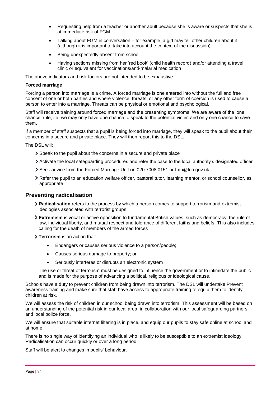- Requesting help from a teacher or another adult because she is aware or suspects that she is at immediate risk of FGM
- Talking about FGM in conversation for example, a girl may tell other children about it (although it is important to take into account the context of the discussion)
- Being unexpectedly absent from school
- Having sections missing from her 'red book' (child health record) and/or attending a travel clinic or equivalent for vaccinations/anti-malarial medication

The above indicators and risk factors are not intended to be exhaustive.

#### **Forced marriage**

Forcing a person into marriage is a crime. A forced marriage is one entered into without the full and free consent of one or both parties and where violence, threats, or any other form of coercion is used to cause a person to enter into a marriage. Threats can be physical or emotional and psychological.

Staff will receive training around forced marriage and the presenting symptoms. We are aware of the 'one chance' rule, i.e. we may only have one chance to speak to the potential victim and only one chance to save them.

If a member of staff suspects that a pupil is being forced into marriage, they will speak to the pupil about their concerns in a secure and private place. They will then report this to the DSL.

The DSL will:

- Speak to the pupil about the concerns in a secure and private place
- Activate the local safeguarding procedures and refer the case to the local authority's designated officer
- Seek advice from the Forced Marriage Unit on 020 7008 0151 or [fmu@fco.gov.uk](mailto:fmu@fco.gov.uk)
- Refer the pupil to an education welfare officer, pastoral tutor, learning mentor, or school counsellor, as appropriate

#### **Preventing radicalisation**

- **Radicalisation** refers to the process by which a person comes to support terrorism and extremist ideologies associated with terrorist groups
- **Extremism** is vocal or active opposition to fundamental British values, such as democracy, the rule of law, individual liberty, and mutual respect and tolerance of different faiths and beliefs. This also includes calling for the death of members of the armed forces
- **Terrorism** is an action that:
	- Endangers or causes serious violence to a person/people;
	- Causes serious damage to property; or
	- Seriously interferes or disrupts an electronic system

The use or threat of terrorism must be designed to influence the government or to intimidate the public and is made for the purpose of advancing a political, religious or ideological cause.

Schools have a duty to prevent children from being drawn into terrorism. The DSL will undertake Prevent awareness training and make sure that staff have access to appropriate training to equip them to identify children at risk.

We will assess the risk of children in our school being drawn into terrorism. This assessment will be based on an understanding of the potential risk in our local area, in collaboration with our local safeguarding partners and local police force.

We will ensure that suitable internet filtering is in place, and equip our pupils to stay safe online at school and at home.

There is no single way of identifying an individual who is likely to be susceptible to an extremist ideology. Radicalisation can occur quickly or over a long period.

Staff will be alert to changes in pupils' behaviour.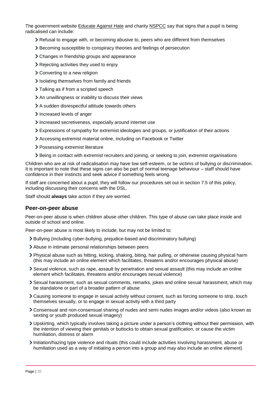The government website [Educate Against Hate](http://educateagainsthate.com/parents/what-are-the-warning-signs/) and charity [NSPCC](https://www.nspcc.org.uk/what-you-can-do/report-abuse/dedicated-helplines/protecting-children-from-radicalisation/) say that signs that a pupil is being radicalised can include:

- Refusal to engage with, or becoming abusive to, peers who are different from themselves
- Becoming susceptible to conspiracy theories and feelings of persecution
- Changes in friendship groups and appearance
- Rejecting activities they used to enjoy
- Converting to a new religion
- Isolating themselves from family and friends
- > Talking as if from a scripted speech
- An unwillingness or inability to discuss their views
- A sudden disrespectful attitude towards others
- Increased levels of anger
- Increased secretiveness, especially around internet use
- Expressions of sympathy for extremist ideologies and groups, or justification of their actions
- Accessing extremist material online, including on Facebook or Twitter
- > Possessing extremist literature
- Being in contact with extremist recruiters and joining, or seeking to join, extremist organisations

Children who are at risk of radicalisation may have low self-esteem, or be victims of bullying or discrimination. It is important to note that these signs can also be part of normal teenage behaviour – staff should have confidence in their instincts and seek advice if something feels wrong.

If staff are concerned about a pupil, they will follow our procedures set out in section 7.5 of this policy, including discussing their concerns with the DSL.

Staff should **always** take action if they are worried.

#### **Peer-on-peer abuse**

Peer-on-peer abuse is when children abuse other children. This type of abuse can take place inside and outside of school and online.

Peer-on-peer abuse is most likely to include, but may not be limited to:

- Bullying (including cyber-bullying, prejudice-based and discriminatory bullying)
- Abuse in intimate personal relationships between peers
- Physical abuse such as hitting, kicking, shaking, biting, hair pulling, or otherwise causing physical harm (this may include an online element which facilitates, threatens and/or encourages physical abuse)
- Sexual violence, such as rape, assault by penetration and sexual assault (this may include an online element which facilitates, threatens and/or encourages sexual violence)
- Sexual harassment, such as sexual comments, remarks, jokes and online sexual harassment, which may be standalone or part of a broader pattern of abuse
- Causing someone to engage in sexual activity without consent, such as forcing someone to strip, touch themselves sexually, or to engage in sexual activity with a third party
- Consensual and non-consensual sharing of nudes and semi nudes images and/or videos (also known as sexting or youth produced sexual imagery)
- Upskirting, which typically involves taking a picture under a person's clothing without their permission, with the intention of viewing their genitals or buttocks to obtain sexual gratification, or cause the victim humiliation, distress or alarm
- Initiation/hazing type violence and rituals (this could include activities involving harassment, abuse or humiliation used as a way of initiating a person into a group and may also include an online element)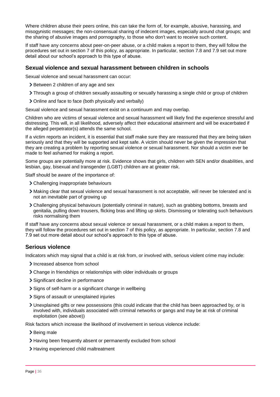Where children abuse their peers online, this can take the form of, for example, abusive, harassing, and misogynistic messages; the non-consensual sharing of indecent images, especially around chat groups; and the sharing of abusive images and pornography, to those who don't want to receive such content.

If staff have any concerns about peer-on-peer abuse, or a child makes a report to them, they will follow the procedures set out in section 7 of this policy, as appropriate. In particular, section 7.8 and 7.9 set out more detail about our school's approach to this type of abuse.

# **Sexual violence and sexual harassment between children in schools**

Sexual violence and sexual harassment can occur:

- > Between 2 children of any age and sex
- Through a group of children sexually assaulting or sexually harassing a single child or group of children
- Online and face to face (both physically and verbally)

Sexual violence and sexual harassment exist on a continuum and may overlap.

Children who are victims of sexual violence and sexual harassment will likely find the experience stressful and distressing. This will, in all likelihood, adversely affect their educational attainment and will be exacerbated if the alleged perpetrator(s) attends the same school.

If a victim reports an incident, it is essential that staff make sure they are reassured that they are being taken seriously and that they will be supported and kept safe. A victim should never be given the impression that they are creating a problem by reporting sexual violence or sexual harassment. Nor should a victim ever be made to feel ashamed for making a report.

Some groups are potentially more at risk. Evidence shows that girls, children with SEN and/or disabilities, and lesbian, gay, bisexual and transgender (LGBT) children are at greater risk.

Staff should be aware of the importance of:

- Challenging inappropriate behaviours
- Making clear that sexual violence and sexual harassment is not acceptable, will never be tolerated and is not an inevitable part of growing up
- Challenging physical behaviours (potentially criminal in nature), such as grabbing bottoms, breasts and genitalia, pulling down trousers, flicking bras and lifting up skirts. Dismissing or tolerating such behaviours risks normalising them

If staff have any concerns about sexual violence or sexual harassment, or a child makes a report to them, they will follow the procedures set out in section 7 of this policy, as appropriate. In particular, section 7.8 and 7.9 set out more detail about our school's approach to this type of abuse.

# **Serious violence**

Indicators which may signal that a child is at risk from, or involved with, serious violent crime may include:

- Increased absence from school
- Change in friendships or relationships with older individuals or groups
- > Significant decline in performance
- Signs of self-harm or a significant change in wellbeing
- Signs of assault or unexplained injuries
- Unexplained gifts or new possessions (this could indicate that the child has been approached by, or is involved with, individuals associated with criminal networks or gangs and may be at risk of criminal exploitation (see above))

Risk factors which increase the likelihood of involvement in serious violence include:

- > Being male
- Having been frequently absent or permanently excluded from school
- > Having experienced child maltreatment